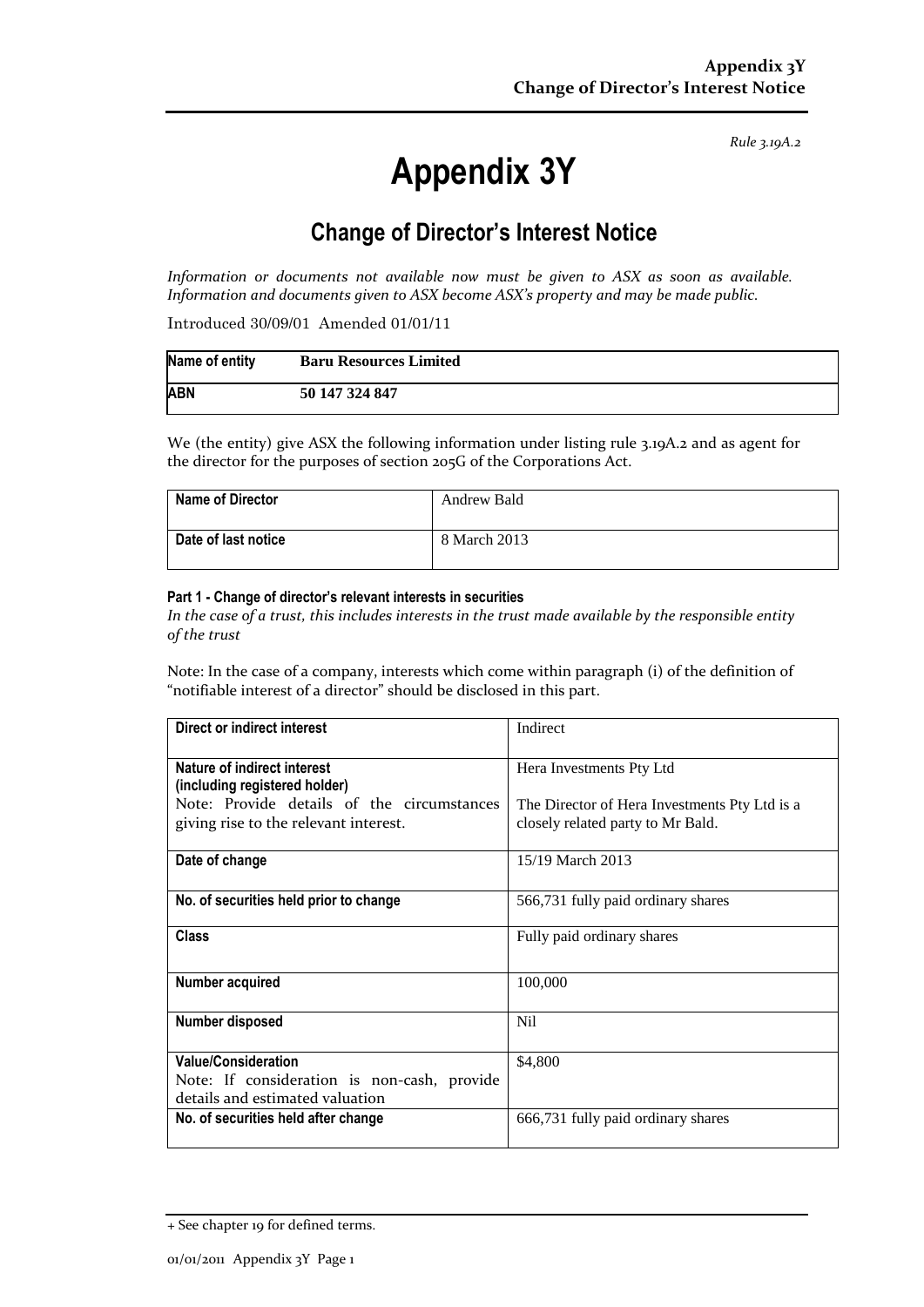*Rule 3.19A.2*

# **Appendix 3Y**

# **Change of Director's Interest Notice**

*Information or documents not available now must be given to ASX as soon as available. Information and documents given to ASX become ASX's property and may be made public.*

Introduced 30/09/01 Amended 01/01/11

| Name of entity | <b>Baru Resources Limited</b> |
|----------------|-------------------------------|
| <b>ABN</b>     | 50 147 324 847                |

We (the entity) give ASX the following information under listing rule 3.19A.2 and as agent for the director for the purposes of section 205G of the Corporations Act.

| <b>Name of Director</b> | Andrew Bald  |
|-------------------------|--------------|
| Date of last notice     | 8 March 2013 |

#### **Part 1 - Change of director's relevant interests in securities**

*In the case of a trust, this includes interests in the trust made available by the responsible entity of the trust*

Note: In the case of a company, interests which come within paragraph (i) of the definition of "notifiable interest of a director" should be disclosed in this part.

| Direct or indirect interest                                                                                  | Indirect                                                                           |  |
|--------------------------------------------------------------------------------------------------------------|------------------------------------------------------------------------------------|--|
| Nature of indirect interest<br>(including registered holder)                                                 | Hera Investments Pty Ltd                                                           |  |
| Note: Provide details of the circumstances<br>giving rise to the relevant interest.                          | The Director of Hera Investments Pty Ltd is a<br>closely related party to Mr Bald. |  |
| Date of change                                                                                               | 15/19 March 2013                                                                   |  |
| No. of securities held prior to change                                                                       | 566,731 fully paid ordinary shares                                                 |  |
| <b>Class</b>                                                                                                 | Fully paid ordinary shares                                                         |  |
| Number acquired                                                                                              | 100,000                                                                            |  |
| Number disposed                                                                                              | N <sub>il</sub>                                                                    |  |
| <b>Value/Consideration</b><br>Note: If consideration is non-cash, provide<br>details and estimated valuation | \$4,800                                                                            |  |
| No. of securities held after change                                                                          | 666,731 fully paid ordinary shares                                                 |  |

<sup>+</sup> See chapter 19 for defined terms.